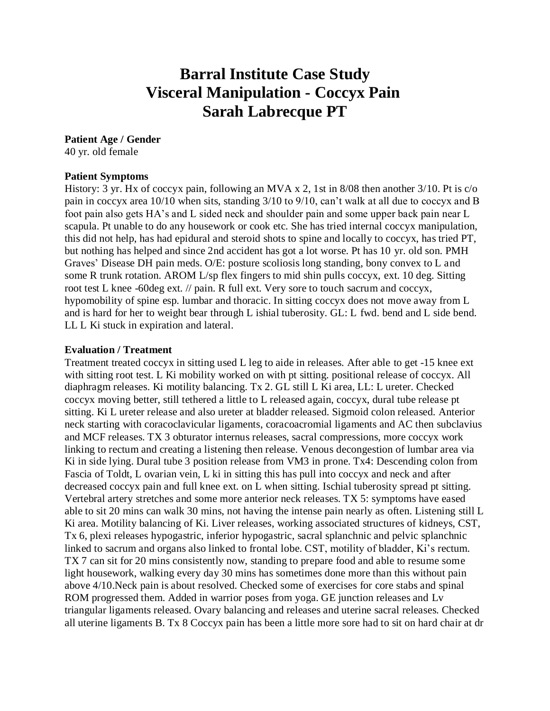# **Barral Institute Case Study Visceral Manipulation - Coccyx Pain Sarah Labrecque PT**

## **Patient Age / Gender**

40 yr. old female

#### **Patient Symptoms**

History: 3 yr. Hx of coccyx pain, following an MVA x 2, 1st in 8/08 then another 3/10. Pt is c/o pain in coccyx area 10/10 when sits, standing 3/10 to 9/10, can't walk at all due to coccyx and B foot pain also gets HA's and L sided neck and shoulder pain and some upper back pain near L scapula. Pt unable to do any housework or cook etc. She has tried internal coccyx manipulation, this did not help, has had epidural and steroid shots to spine and locally to coccyx, has tried PT, but nothing has helped and since 2nd accident has got a lot worse. Pt has 10 yr. old son. PMH Graves' Disease DH pain meds. O/E: posture scoliosis long standing, bony convex to L and some R trunk rotation. AROM L/sp flex fingers to mid shin pulls coccyx, ext. 10 deg. Sitting root test L knee -60deg ext. // pain. R full ext. Very sore to touch sacrum and coccyx, hypomobility of spine esp. lumbar and thoracic. In sitting coccyx does not move away from L and is hard for her to weight bear through L ishial tuberosity. GL: L fwd. bend and L side bend. LL L Ki stuck in expiration and lateral.

### **Evaluation / Treatment**

Treatment treated coccyx in sitting used L leg to aide in releases. After able to get -15 knee ext with sitting root test. L Ki mobility worked on with pt sitting. positional release of coccyx. All diaphragm releases. Ki motility balancing. Tx 2. GL still L Ki area, LL: L ureter. Checked coccyx moving better, still tethered a little to L released again, coccyx, dural tube release pt sitting. Ki L ureter release and also ureter at bladder released. Sigmoid colon released. Anterior neck starting with coracoclavicular ligaments, coracoacromial ligaments and AC then subclavius and MCF releases. TX 3 obturator internus releases, sacral compressions, more coccyx work linking to rectum and creating a listening then release. Venous decongestion of lumbar area via Ki in side lying. Dural tube 3 position release from VM3 in prone. Tx4: Descending colon from Fascia of Toldt, L ovarian vein, L ki in sitting this has pull into coccyx and neck and after decreased coccyx pain and full knee ext. on L when sitting. Ischial tuberosity spread pt sitting. Vertebral artery stretches and some more anterior neck releases. TX 5: symptoms have eased able to sit 20 mins can walk 30 mins, not having the intense pain nearly as often. Listening still L Ki area. Motility balancing of Ki. Liver releases, working associated structures of kidneys, CST, Tx 6, plexi releases hypogastric, inferior hypogastric, sacral splanchnic and pelvic splanchnic linked to sacrum and organs also linked to frontal lobe. CST, motility of bladder, Ki's rectum. TX 7 can sit for 20 mins consistently now, standing to prepare food and able to resume some light housework, walking every day 30 mins has sometimes done more than this without pain above 4/10.Neck pain is about resolved. Checked some of exercises for core stabs and spinal ROM progressed them. Added in warrior poses from yoga. GE junction releases and Lv triangular ligaments released. Ovary balancing and releases and uterine sacral releases. Checked all uterine ligaments B. Tx 8 Coccyx pain has been a little more sore had to sit on hard chair at dr